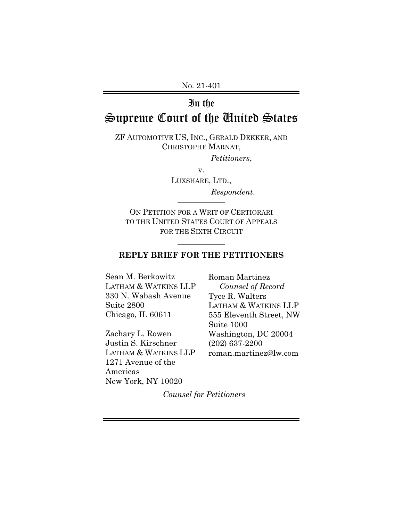No. 21-401

## In the

# Supreme Court of the United States

ZF AUTOMOTIVE US, INC., GERALD DEKKER, AND CHRISTOPHE MARNAT,

*Petitioners*,

v.

LUXSHARE, LTD., *Respondent*.

ON PETITION FOR A WRIT OF CERTIORARI TO THE UNITED STATES COURT OF APPEALS FOR THE SIXTH CIRCUIT

 $\overline{a}$ 

### **REPLY BRIEF FOR THE PETITIONERS**

Sean M. Berkowitz LATHAM & WATKINS LLP 330 N. Wabash Avenue Suite 2800 Chicago, IL 60611

Zachary L. Rowen Justin S. Kirschner LATHAM & WATKINS LLP 1271 Avenue of the Americas New York, NY 10020

Roman Martinez *Counsel of Record* Tyce R. Walters LATHAM & WATKINS LLP 555 Eleventh Street, NW Suite 1000 Washington, DC 20004 (202) 637-2200 roman.martinez@lw.com

*Counsel for Petitioners*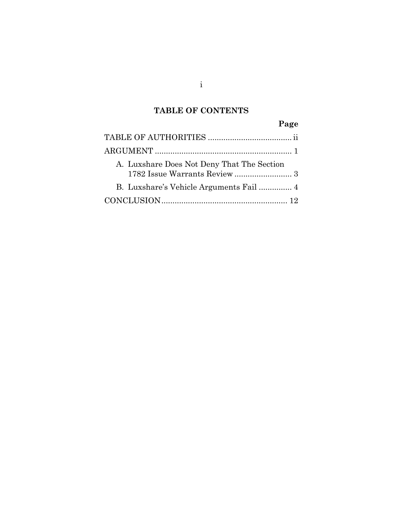## **TABLE OF CONTENTS**

## **Page**

| A. Luxshare Does Not Deny That The Section |
|--------------------------------------------|
|                                            |
|                                            |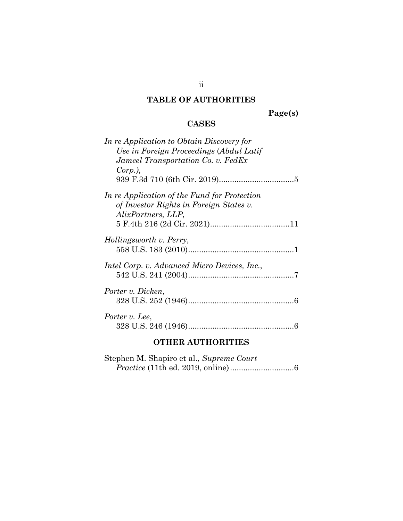## **TABLE OF AUTHORITIES**

**Page(s)** 

## **CASES**

| In re Application to Obtain Discovery for           |
|-----------------------------------------------------|
| Use in Foreign Proceedings (Abdul Latif             |
| Jameel Transportation Co. v. FedEx                  |
| $Corp.$ ),                                          |
|                                                     |
| In re Application of the Fund for Protection        |
| of Investor Rights in Foreign States v.             |
| AlixPartners, LLP,                                  |
|                                                     |
| Hollingsworth v. Perry,                             |
|                                                     |
|                                                     |
| <i>Intel Corp.</i> v. Advanced Micro Devices, Inc., |
|                                                     |
|                                                     |
| Porter v. Dicken,                                   |
|                                                     |
| Porter v. Lee,                                      |
|                                                     |
|                                                     |
| .                                                   |

### **OTHER AUTHORITIES**

| Stephen M. Shapiro et al., Supreme Court |  |  |
|------------------------------------------|--|--|
|                                          |  |  |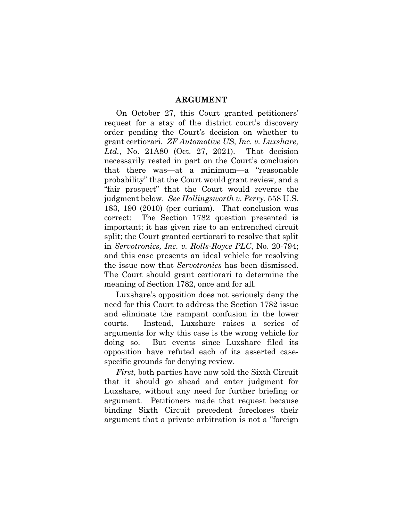### **ARGUMENT**

On October 27, this Court granted petitioners' request for a stay of the district court's discovery order pending the Court's decision on whether to grant certiorari. *ZF Automotive US, Inc. v. Luxshare, Ltd.*, No. 21A80 (Oct. 27, 2021). That decision necessarily rested in part on the Court's conclusion that there was—at a minimum—a "reasonable probability" that the Court would grant review, and a "fair prospect" that the Court would reverse the judgment below. *See Hollingsworth v. Perry*, 558 U.S. 183, 190 (2010) (per curiam). That conclusion was correct: The Section 1782 question presented is important; it has given rise to an entrenched circuit split; the Court granted certiorari to resolve that split in *Servotronics, Inc. v. Rolls-Royce PLC*, No. 20-794; and this case presents an ideal vehicle for resolving the issue now that *Servotronics* has been dismissed. The Court should grant certiorari to determine the meaning of Section 1782, once and for all.

Luxshare's opposition does not seriously deny the need for this Court to address the Section 1782 issue and eliminate the rampant confusion in the lower courts. Instead, Luxshare raises a series of arguments for why this case is the wrong vehicle for doing so. But events since Luxshare filed its opposition have refuted each of its asserted casespecific grounds for denying review.

*First*, both parties have now told the Sixth Circuit that it should go ahead and enter judgment for Luxshare, without any need for further briefing or argument. Petitioners made that request because binding Sixth Circuit precedent forecloses their argument that a private arbitration is not a "foreign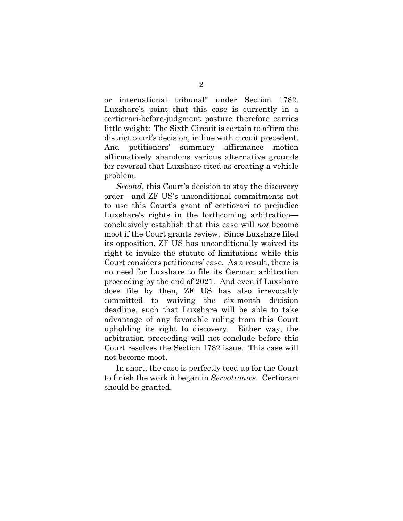or international tribunal" under Section 1782. Luxshare's point that this case is currently in a certiorari-before-judgment posture therefore carries little weight: The Sixth Circuit is certain to affirm the district court's decision, in line with circuit precedent. And petitioners' summary affirmance motion affirmatively abandons various alternative grounds for reversal that Luxshare cited as creating a vehicle problem.

*Second*, this Court's decision to stay the discovery order—and ZF US's unconditional commitments not to use this Court's grant of certiorari to prejudice Luxshare's rights in the forthcoming arbitration conclusively establish that this case will *not* become moot if the Court grants review. Since Luxshare filed its opposition, ZF US has unconditionally waived its right to invoke the statute of limitations while this Court considers petitioners' case. As a result, there is no need for Luxshare to file its German arbitration proceeding by the end of 2021. And even if Luxshare does file by then, ZF US has also irrevocably committed to waiving the six-month decision deadline, such that Luxshare will be able to take advantage of any favorable ruling from this Court upholding its right to discovery. Either way, the arbitration proceeding will not conclude before this Court resolves the Section 1782 issue. This case will not become moot.

In short, the case is perfectly teed up for the Court to finish the work it began in *Servotronics*. Certiorari should be granted.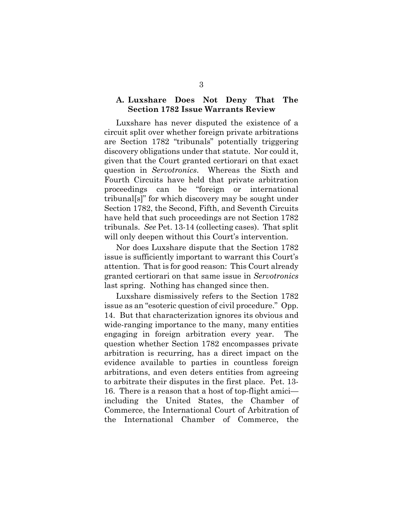### **A. Luxshare Does Not Deny That The Section 1782 Issue Warrants Review**

Luxshare has never disputed the existence of a circuit split over whether foreign private arbitrations are Section 1782 "tribunals" potentially triggering discovery obligations under that statute. Nor could it, given that the Court granted certiorari on that exact question in *Servotronics*. Whereas the Sixth and Fourth Circuits have held that private arbitration proceedings can be "foreign or international tribunal[s]" for which discovery may be sought under Section 1782, the Second, Fifth, and Seventh Circuits have held that such proceedings are not Section 1782 tribunals. *See* Pet. 13-14 (collecting cases). That split will only deepen without this Court's intervention.

Nor does Luxshare dispute that the Section 1782 issue is sufficiently important to warrant this Court's attention. That is for good reason: This Court already granted certiorari on that same issue in *Servotronics* last spring. Nothing has changed since then.

Luxshare dismissively refers to the Section 1782 issue as an "esoteric question of civil procedure." Opp. 14. But that characterization ignores its obvious and wide-ranging importance to the many, many entities engaging in foreign arbitration every year. The question whether Section 1782 encompasses private arbitration is recurring, has a direct impact on the evidence available to parties in countless foreign arbitrations, and even deters entities from agreeing to arbitrate their disputes in the first place. Pet. 13- 16. There is a reason that a host of top-flight amici including the United States, the Chamber of Commerce, the International Court of Arbitration of the International Chamber of Commerce, the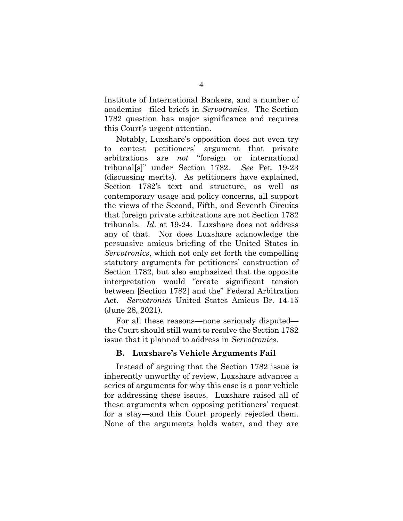Institute of International Bankers, and a number of academics—filed briefs in *Servotronics*. The Section 1782 question has major significance and requires this Court's urgent attention.

Notably, Luxshare's opposition does not even try to contest petitioners' argument that private arbitrations are *not* "foreign or international tribunal[s]" under Section 1782. *See* Pet. 19-23 (discussing merits). As petitioners have explained, Section 1782's text and structure, as well as contemporary usage and policy concerns, all support the views of the Second, Fifth, and Seventh Circuits that foreign private arbitrations are not Section 1782 tribunals. *Id*. at 19-24.Luxshare does not address any of that. Nor does Luxshare acknowledge the persuasive amicus briefing of the United States in *Servotronics*, which not only set forth the compelling statutory arguments for petitioners' construction of Section 1782, but also emphasized that the opposite interpretation would "create significant tension between [Section 1782] and the" Federal Arbitration Act. *Servotronics* United States Amicus Br. 14-15 (June 28, 2021).

For all these reasons—none seriously disputed the Court should still want to resolve the Section 1782 issue that it planned to address in *Servotronics*.

#### **B. Luxshare's Vehicle Arguments Fail**

Instead of arguing that the Section 1782 issue is inherently unworthy of review, Luxshare advances a series of arguments for why this case is a poor vehicle for addressing these issues. Luxshare raised all of these arguments when opposing petitioners' request for a stay—and this Court properly rejected them. None of the arguments holds water, and they are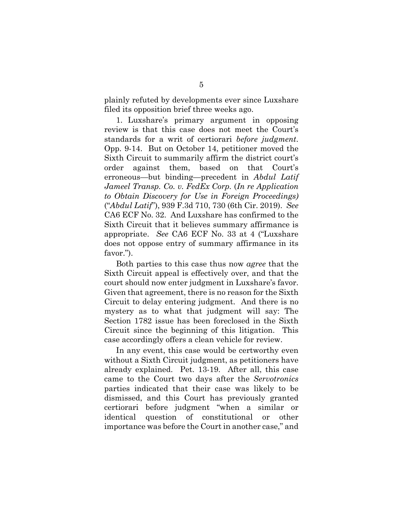plainly refuted by developments ever since Luxshare filed its opposition brief three weeks ago.

1. Luxshare's primary argument in opposing review is that this case does not meet the Court's standards for a writ of certiorari *before judgment*. Opp. 9-14. But on October 14, petitioner moved the Sixth Circuit to summarily affirm the district court's order against them, based on that Court's erroneous—but binding—precedent in *Abdul Latif Jameel Transp. Co. v. FedEx Corp.* (*In re Application to Obtain Discovery for Use in Foreign Proceedings)* ("*Abdul Latif*"), 939 F.3d 710, 730 (6th Cir. 2019). *See*  CA6 ECF No. 32. And Luxshare has confirmed to the Sixth Circuit that it believes summary affirmance is appropriate. *See* CA6 ECF No. 33 at 4 ("Luxshare does not oppose entry of summary affirmance in its favor.").

Both parties to this case thus now *agree* that the Sixth Circuit appeal is effectively over, and that the court should now enter judgment in Luxshare's favor. Given that agreement, there is no reason for the Sixth Circuit to delay entering judgment. And there is no mystery as to what that judgment will say: The Section 1782 issue has been foreclosed in the Sixth Circuit since the beginning of this litigation. This case accordingly offers a clean vehicle for review.

In any event, this case would be certworthy even without a Sixth Circuit judgment, as petitioners have already explained. Pet. 13-19. After all, this case came to the Court two days after the *Servotronics*  parties indicated that their case was likely to be dismissed, and this Court has previously granted certiorari before judgment "when a similar or identical question of constitutional or other importance was before the Court in another case," and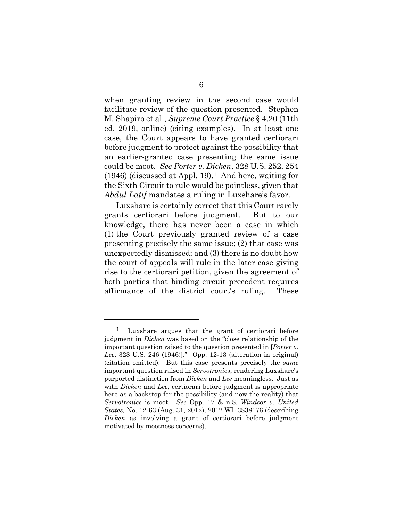when granting review in the second case would facilitate review of the question presented. Stephen M. Shapiro et al., *Supreme Court Practice* § 4.20 (11th ed. 2019, online) (citing examples). In at least one case, the Court appears to have granted certiorari before judgment to protect against the possibility that an earlier-granted case presenting the same issue could be moot. *See Porter v. Dicken*, 328 U.S. 252, 254  $(1946)$  (discussed at Appl. 19).<sup>1</sup> And here, waiting for the Sixth Circuit to rule would be pointless, given that *Abdul Latif* mandates a ruling in Luxshare's favor.

Luxshare is certainly correct that this Court rarely grants certiorari before judgment. But to our knowledge, there has never been a case in which (1) the Court previously granted review of a case presenting precisely the same issue; (2) that case was unexpectedly dismissed; and (3) there is no doubt how the court of appeals will rule in the later case giving rise to the certiorari petition, given the agreement of both parties that binding circuit precedent requires affirmance of the district court's ruling. These

<sup>1</sup> Luxshare argues that the grant of certiorari before judgment in *Dicken* was based on the "close relationship of the important question raised to the question presented in [*Porter v. Lee*, 328 U.S. 246 (1946)]." Opp. 12-13 (alteration in original) (citation omitted). But this case presents precisely the *same*  important question raised in *Servotronics*, rendering Luxshare's purported distinction from *Dicken* and *Lee* meaningless. Just as with *Dicken* and *Lee*, certiorari before judgment is appropriate here as a backstop for the possibility (and now the reality) that *Servotronics* is moot. *See* Opp. 17 & n.8, *Windsor v. United States,* No. 12-63 (Aug. 31, 2012), 2012 WL 3838176 (describing *Dicken* as involving a grant of certiorari before judgment motivated by mootness concerns).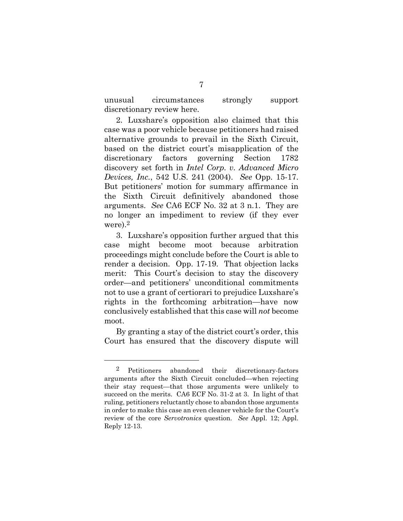unusual circumstances strongly support discretionary review here.

2. Luxshare's opposition also claimed that this case was a poor vehicle because petitioners had raised alternative grounds to prevail in the Sixth Circuit, based on the district court's misapplication of the discretionary factors governing Section 1782 discovery set forth in *Intel Corp. v. Advanced Micro Devices, Inc.*, 542 U.S. 241 (2004). *See* Opp. 15-17. But petitioners' motion for summary affirmance in the Sixth Circuit definitively abandoned those arguments. *See* CA6 ECF No. 32 at 3 n.1. They are no longer an impediment to review (if they ever were).<sup>2</sup>

3. Luxshare's opposition further argued that this case might become moot because arbitration proceedings might conclude before the Court is able to render a decision. Opp. 17-19. That objection lacks merit: This Court's decision to stay the discovery order—and petitioners' unconditional commitments not to use a grant of certiorari to prejudice Luxshare's rights in the forthcoming arbitration—have now conclusively established that this case will *not* become moot.

By granting a stay of the district court's order, this Court has ensured that the discovery dispute will

l

<sup>2</sup> Petitioners abandoned their discretionary-factors arguments after the Sixth Circuit concluded—when rejecting their stay request—that those arguments were unlikely to succeed on the merits. CA6 ECF No. 31-2 at 3. In light of that ruling, petitioners reluctantly chose to abandon those arguments in order to make this case an even cleaner vehicle for the Court's review of the core *Servotronics* question. *See* Appl. 12; Appl. Reply 12-13.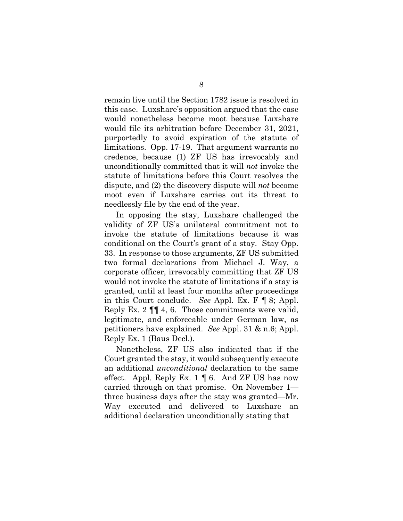remain live until the Section 1782 issue is resolved in this case. Luxshare's opposition argued that the case would nonetheless become moot because Luxshare would file its arbitration before December 31, 2021, purportedly to avoid expiration of the statute of limitations. Opp. 17-19. That argument warrants no credence, because (1) ZF US has irrevocably and unconditionally committed that it will *not* invoke the statute of limitations before this Court resolves the dispute, and (2) the discovery dispute will *not* become moot even if Luxshare carries out its threat to needlessly file by the end of the year.

In opposing the stay, Luxshare challenged the validity of ZF US's unilateral commitment not to invoke the statute of limitations because it was conditional on the Court's grant of a stay. Stay Opp. 33. In response to those arguments, ZF US submitted two formal declarations from Michael J. Way, a corporate officer, irrevocably committing that ZF US would not invoke the statute of limitations if a stay is granted, until at least four months after proceedings in this Court conclude. *See* Appl. Ex. F ¶ 8; Appl. Reply Ex. 2 ¶¶ 4, 6. Those commitments were valid, legitimate, and enforceable under German law, as petitioners have explained. *See* Appl. 31 & n.6; Appl. Reply Ex. 1 (Baus Decl.).

Nonetheless, ZF US also indicated that if the Court granted the stay, it would subsequently execute an additional *unconditional* declaration to the same effect. Appl. Reply Ex.  $1 \nparallel 6$ . And ZF US has now carried through on that promise. On November 1 three business days after the stay was granted—Mr. Way executed and delivered to Luxshare an additional declaration unconditionally stating that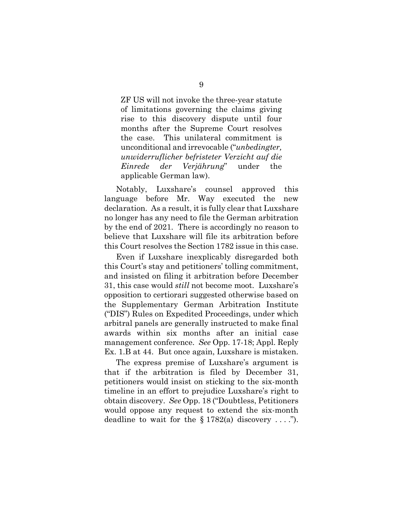ZF US will not invoke the three-year statute of limitations governing the claims giving rise to this discovery dispute until four months after the Supreme Court resolves the case. This unilateral commitment is unconditional and irrevocable ("*unbedingter, unwiderruflicher befristeter Verzicht auf die Einrede der Verjährung*" under the applicable German law).

Notably, Luxshare's counsel approved this language before Mr. Way executed the new declaration. As a result, it is fully clear that Luxshare no longer has any need to file the German arbitration by the end of 2021. There is accordingly no reason to believe that Luxshare will file its arbitration before this Court resolves the Section 1782 issue in this case.

Even if Luxshare inexplicably disregarded both this Court's stay and petitioners' tolling commitment, and insisted on filing it arbitration before December 31, this case would *still* not become moot. Luxshare's opposition to certiorari suggested otherwise based on the Supplementary German Arbitration Institute ("DIS") Rules on Expedited Proceedings, under which arbitral panels are generally instructed to make final awards within six months after an initial case management conference. *See* Opp. 17-18; Appl. Reply Ex. 1.B at 44. But once again, Luxshare is mistaken.

The express premise of Luxshare's argument is that if the arbitration is filed by December 31, petitioners would insist on sticking to the six-month timeline in an effort to prejudice Luxshare's right to obtain discovery. *See* Opp. 18 ("Doubtless, Petitioners would oppose any request to extend the six-month deadline to wait for the  $\S 1782(a)$  discovery ....").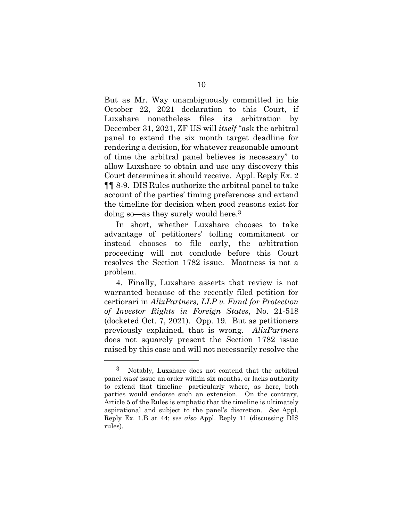But as Mr. Way unambiguously committed in his October 22, 2021 declaration to this Court, if Luxshare nonetheless files its arbitration by December 31, 2021, ZF US will *itself* "ask the arbitral panel to extend the six month target deadline for rendering a decision, for whatever reasonable amount of time the arbitral panel believes is necessary" to allow Luxshare to obtain and use any discovery this Court determines it should receive. Appl. Reply Ex. 2 ¶¶ 8-9. DIS Rules authorize the arbitral panel to take account of the parties' timing preferences and extend the timeline for decision when good reasons exist for doing so—as they surely would here.3

In short, whether Luxshare chooses to take advantage of petitioners' tolling commitment or instead chooses to file early, the arbitration proceeding will not conclude before this Court resolves the Section 1782 issue. Mootness is not a problem.

4. Finally, Luxshare asserts that review is not warranted because of the recently filed petition for certiorari in *AlixPartners, LLP v. Fund for Protection of Investor Rights in Foreign States*, No. 21-518 (docketed Oct. 7, 2021). Opp. 19. But as petitioners previously explained, that is wrong. *AlixPartners*  does not squarely present the Section 1782 issue raised by this case and will not necessarily resolve the

l

<sup>3</sup> Notably, Luxshare does not contend that the arbitral panel *must* issue an order within six months, or lacks authority to extend that timeline—particularly where, as here, both parties would endorse such an extension. On the contrary, Article 5 of the Rules is emphatic that the timeline is ultimately aspirational and subject to the panel's discretion. *See* Appl. Reply Ex. 1.B at 44; *see also* Appl. Reply 11 (discussing DIS rules).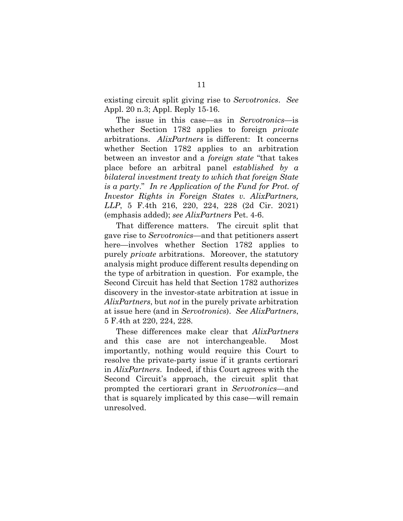existing circuit split giving rise to *Servotronics*. *See* Appl. 20 n.3; Appl. Reply 15-16.

The issue in this case—as in *Servotronics*—is whether Section 1782 applies to foreign *private*  arbitrations. *AlixPartners* is different: It concerns whether Section 1782 applies to an arbitration between an investor and a *foreign state* "that takes place before an arbitral panel *established by a bilateral investment treaty to which that foreign State is a party*." *In re Application of the Fund for Prot. of Investor Rights in Foreign States v. AlixPartners, LLP*, 5 F.4th 216, 220, 224, 228 (2d Cir. 2021) (emphasis added); *see AlixPartners* Pet. 4-6.

That difference matters. The circuit split that gave rise to *Servotronics*—and that petitioners assert here—involves whether Section 1782 applies to purely *private* arbitrations. Moreover, the statutory analysis might produce different results depending on the type of arbitration in question. For example, the Second Circuit has held that Section 1782 authorizes discovery in the investor-state arbitration at issue in *AlixPartners*, but *not* in the purely private arbitration at issue here (and in *Servotronics*). *See AlixPartners*, 5 F.4th at 220, 224, 228.

These differences make clear that *AlixPartners* and this case are not interchangeable. Most importantly, nothing would require this Court to resolve the private-party issue if it grants certiorari in *AlixPartners*.Indeed, if this Court agrees with the Second Circuit's approach, the circuit split that prompted the certiorari grant in *Servotronics*—and that is squarely implicated by this case—will remain unresolved.